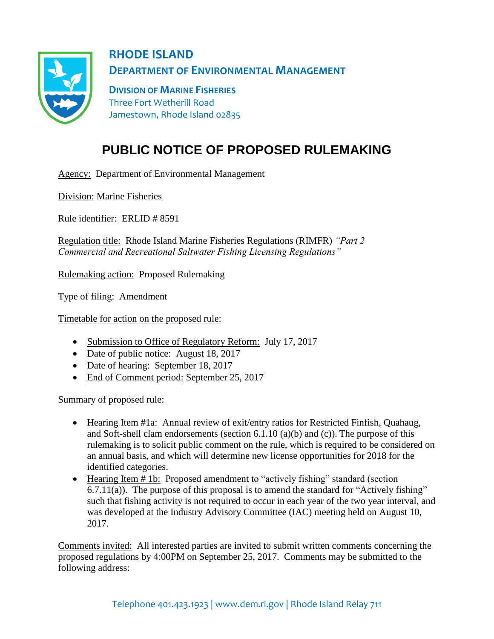

**RHODE ISLAND DEPARTMENT OF ENVIRONMENTAL MANAGEMENT**

**DIVISION OF MARINE FISHERIES** Three Fort Wetherill Road Jamestown, Rhode Island 02835

## **PUBLIC NOTICE OF PROPOSED RULEMAKING**

Agency: Department of Environmental Management

Division: Marine Fisheries

Rule identifier: ERLID # 8591

Regulation title: Rhode Island Marine Fisheries Regulations (RIMFR) *"Part 2 Commercial and Recreational Saltwater Fishing Licensing Regulations"*

Rulemaking action: Proposed Rulemaking

Type of filing: Amendment

Timetable for action on the proposed rule:

- Submission to Office of Regulatory Reform: July 17, 2017
- Date of public notice: August 18, 2017
- Date of hearing: September 18, 2017
- End of Comment period: September 25, 2017

Summary of proposed rule:

- Hearing Item #1a: Annual review of exit/entry ratios for Restricted Finfish, Quahaug, and Soft-shell clam endorsements (section 6.1.10 (a)(b) and (c)). The purpose of this rulemaking is to solicit public comment on the rule, which is required to be considered on an annual basis, and which will determine new license opportunities for 2018 for the identified categories.
- Hearing Item # 1b: Proposed amendment to "actively fishing" standard (section 6.7.11(a)). The purpose of this proposal is to amend the standard for "Actively fishing" such that fishing activity is not required to occur in each year of the two year interval, and was developed at the Industry Advisory Committee (IAC) meeting held on August 10, 2017.

Comments invited: All interested parties are invited to submit written comments concerning the proposed regulations by 4:00PM on September 25, 2017. Comments may be submitted to the following address: